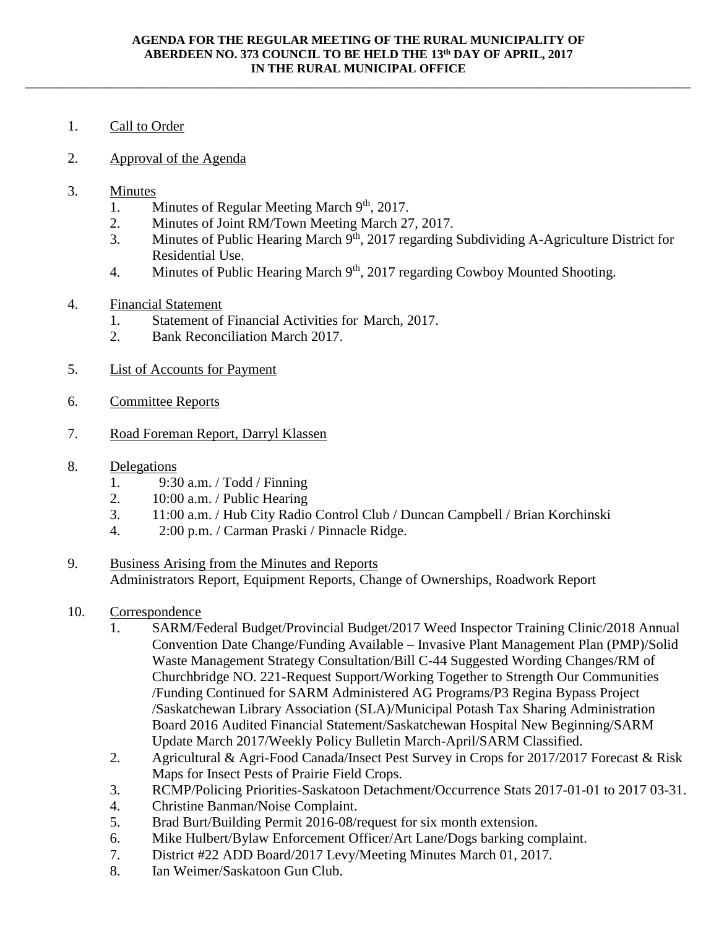\_\_\_\_\_\_\_\_\_\_\_\_\_\_\_\_\_\_\_\_\_\_\_\_\_\_\_\_\_\_\_\_\_\_\_\_\_\_\_\_\_\_\_\_\_\_\_\_\_\_\_\_\_\_\_\_\_\_\_\_\_\_\_\_\_\_\_\_\_\_\_\_\_\_\_\_\_\_\_\_\_\_\_\_\_\_\_\_\_\_\_\_\_\_\_\_\_\_\_\_\_\_\_\_\_\_\_\_

- 1. Call to Order
- 2. Approval of the Agenda
- 3. Minutes
	- 1. Minutes of Regular Meeting March  $9<sup>th</sup>$ , 2017.
	- 2. Minutes of Joint RM/Town Meeting March 27, 2017.
	- 3. Minutes of Public Hearing March  $9<sup>th</sup>$ , 2017 regarding Subdividing A-Agriculture District for Residential Use.
	- 4. Minutes of Public Hearing March  $9<sup>th</sup>$ , 2017 regarding Cowboy Mounted Shooting.
- 4. Financial Statement
	- 1. Statement of Financial Activities for March, 2017.
	- 2. Bank Reconciliation March 2017.
- 5. List of Accounts for Payment
- 6. Committee Reports
- 7. Road Foreman Report, Darryl Klassen
- 8. Delegations
	- 1. 9:30 a.m. / Todd / Finning
	- 2. 10:00 a.m. / Public Hearing
	- 3. 11:00 a.m. / Hub City Radio Control Club / Duncan Campbell / Brian Korchinski
	- 4. 2:00 p.m. / Carman Praski / Pinnacle Ridge.
- 9. Business Arising from the Minutes and Reports Administrators Report, Equipment Reports, Change of Ownerships, Roadwork Report
- 10. Correspondence
	- 1. SARM/Federal Budget/Provincial Budget/2017 Weed Inspector Training Clinic/2018 Annual Convention Date Change/Funding Available – Invasive Plant Management Plan (PMP)/Solid Waste Management Strategy Consultation/Bill C-44 Suggested Wording Changes/RM of Churchbridge NO. 221-Request Support/Working Together to Strength Our Communities /Funding Continued for SARM Administered AG Programs/P3 Regina Bypass Project /Saskatchewan Library Association (SLA)/Municipal Potash Tax Sharing Administration Board 2016 Audited Financial Statement/Saskatchewan Hospital New Beginning/SARM Update March 2017/Weekly Policy Bulletin March-April/SARM Classified.
	- 2. Agricultural & Agri-Food Canada/Insect Pest Survey in Crops for 2017/2017 Forecast & Risk Maps for Insect Pests of Prairie Field Crops.
	- 3. RCMP/Policing Priorities-Saskatoon Detachment/Occurrence Stats 2017-01-01 to 2017 03-31.
	- 4. Christine Banman/Noise Complaint.
	- 5. Brad Burt/Building Permit 2016-08/request for six month extension.
	- 6. Mike Hulbert/Bylaw Enforcement Officer/Art Lane/Dogs barking complaint.
	- 7. District #22 ADD Board/2017 Levy/Meeting Minutes March 01, 2017.
	- 8. Ian Weimer/Saskatoon Gun Club.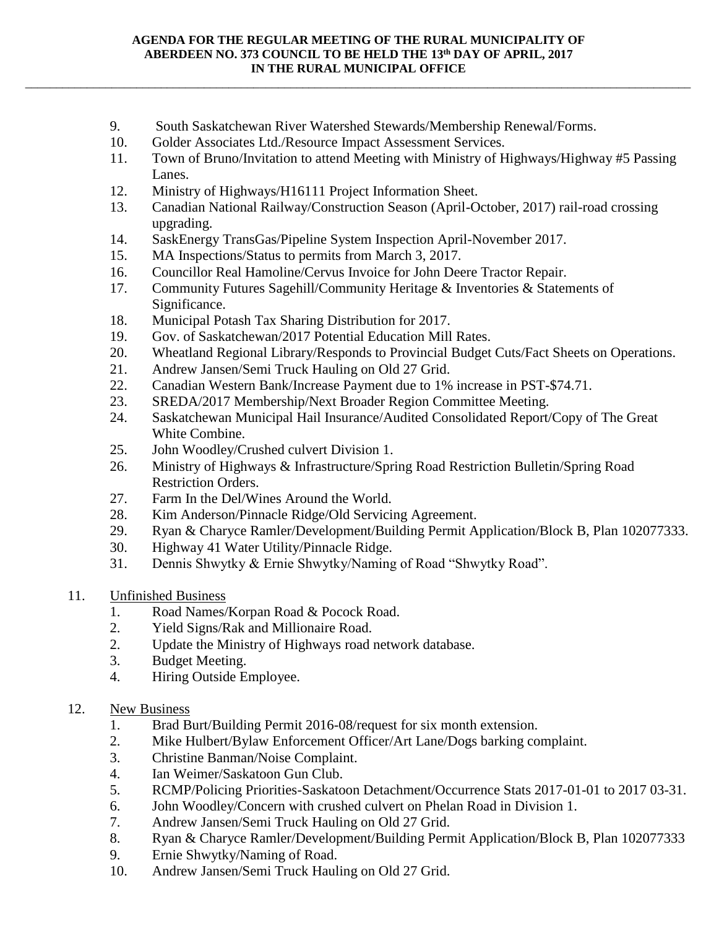## **AGENDA FOR THE REGULAR MEETING OF THE RURAL MUNICIPALITY OF ABERDEEN NO. 373 COUNCIL TO BE HELD THE 13 th DAY OF APRIL, 2017 IN THE RURAL MUNICIPAL OFFICE**

\_\_\_\_\_\_\_\_\_\_\_\_\_\_\_\_\_\_\_\_\_\_\_\_\_\_\_\_\_\_\_\_\_\_\_\_\_\_\_\_\_\_\_\_\_\_\_\_\_\_\_\_\_\_\_\_\_\_\_\_\_\_\_\_\_\_\_\_\_\_\_\_\_\_\_\_\_\_\_\_\_\_\_\_\_\_\_\_\_\_\_\_\_\_\_\_\_\_\_\_\_\_\_\_\_\_\_\_

- 9. South Saskatchewan River Watershed Stewards/Membership Renewal/Forms.
- 10. Golder Associates Ltd./Resource Impact Assessment Services.
- 11. Town of Bruno/Invitation to attend Meeting with Ministry of Highways/Highway #5 Passing Lanes.
- 12. Ministry of Highways/H16111 Project Information Sheet.
- 13. Canadian National Railway/Construction Season (April-October, 2017) rail-road crossing upgrading.
- 14. SaskEnergy TransGas/Pipeline System Inspection April-November 2017.
- 15. MA Inspections/Status to permits from March 3, 2017.
- 16. Councillor Real Hamoline/Cervus Invoice for John Deere Tractor Repair.
- 17. Community Futures Sagehill/Community Heritage & Inventories & Statements of Significance.
- 18. Municipal Potash Tax Sharing Distribution for 2017.
- 19. Gov. of Saskatchewan/2017 Potential Education Mill Rates.
- 20. Wheatland Regional Library/Responds to Provincial Budget Cuts/Fact Sheets on Operations.
- 21. Andrew Jansen/Semi Truck Hauling on Old 27 Grid.
- 22. Canadian Western Bank/Increase Payment due to 1% increase in PST-\$74.71.
- 23. SREDA/2017 Membership/Next Broader Region Committee Meeting.
- 24. Saskatchewan Municipal Hail Insurance/Audited Consolidated Report/Copy of The Great White Combine.
- 25. John Woodley/Crushed culvert Division 1.
- 26. Ministry of Highways & Infrastructure/Spring Road Restriction Bulletin/Spring Road Restriction Orders.
- 27. Farm In the Del/Wines Around the World.
- 28. Kim Anderson/Pinnacle Ridge/Old Servicing Agreement.
- 29. Ryan & Charyce Ramler/Development/Building Permit Application/Block B, Plan 102077333.
- 30. Highway 41 Water Utility/Pinnacle Ridge.
- 31. Dennis Shwytky & Ernie Shwytky/Naming of Road "Shwytky Road".
- 11. Unfinished Business
	- 1. Road Names/Korpan Road & Pocock Road.
	- 2. Yield Signs/Rak and Millionaire Road.
	- 2. Update the Ministry of Highways road network database.
	- 3. Budget Meeting.
	- 4. Hiring Outside Employee.
- 12. New Business
	- 1. Brad Burt/Building Permit 2016-08/request for six month extension.
	- 2. Mike Hulbert/Bylaw Enforcement Officer/Art Lane/Dogs barking complaint.
	- 3. Christine Banman/Noise Complaint.
	- 4. Ian Weimer/Saskatoon Gun Club.
	- 5. RCMP/Policing Priorities-Saskatoon Detachment/Occurrence Stats 2017-01-01 to 2017 03-31.
	- 6. John Woodley/Concern with crushed culvert on Phelan Road in Division 1.
	- 7. Andrew Jansen/Semi Truck Hauling on Old 27 Grid.
	- 8. Ryan & Charyce Ramler/Development/Building Permit Application/Block B, Plan 102077333
	- 9. Ernie Shwytky/Naming of Road.
	- 10. Andrew Jansen/Semi Truck Hauling on Old 27 Grid.